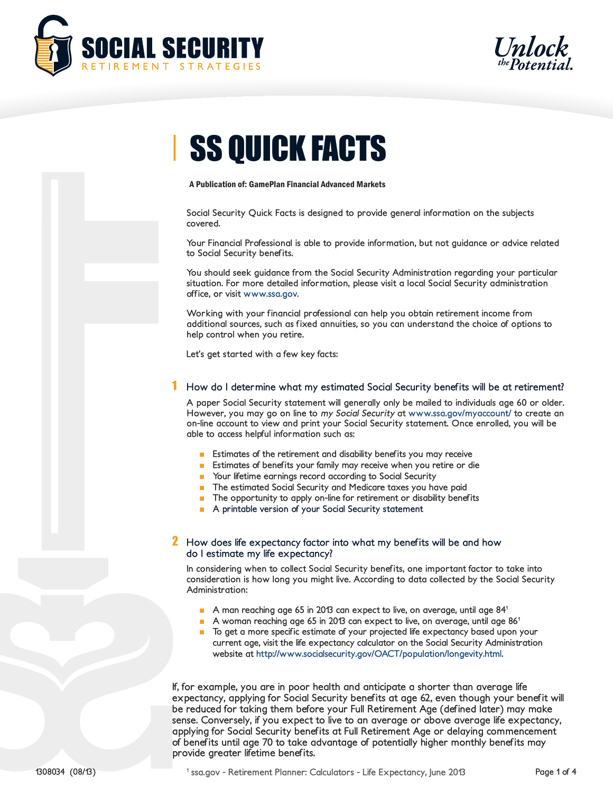



# *I* SS QUICK FACTS

#### A Publication of: GamePlan Financial Advanced Markets

**Social Security Quick Facts is designed to provide general information on the subjects covered.** 

**Your Financial Professional is able to provide information, but not guidance or advice related to Social Security benefits.** 

**You should seek guidance from the Social Security Administration regarding your particular situation. For more detailed information, please visit a local Social Security administration office, or visit www.ssa.gov.**

**Working with your financial professional can help you obtain retirement income from additional sources, such as fixed annuities, so you can understand the choice of options to help control when you retire.**

**Let's get started with a few key facts:**

## 1 **How do I determine what my estimated Social Security benefits will be at retirement?**

**A paper Social Security statement will generally only be mailed to individuals age 60 or older. However, you may go on line to my Social Security at www.ssa.gov/myaccount/ to create an on-line account to view and print your Social Security statement. Once enrolled, you will be able to access helpful information such as:**

- **Estimates of the retirement and disability benefits you may receive**
- **Estimates of benefits your family may receive when you retire or die**
- Your lifetime earnings record according to Social Security
- **The estimated Social Security and Medicare taxes you have paid**
- **The opportunity to apply on-line for retirement or disability benefits**
- **A printable version of your Social Security statement**

## 2 **How does life expectancy factor into what my benefits will be and how do I estimate my life expectancy?**

**In considering when to collect Social Security benefits, one important factor to take into consideration is how long you might live. According to data collected by the Social Security Administration:**

- A man reaching age 65 in 2013 can expect to live, on average, until age 84<sup>1</sup>
- A woman reaching age 65 in 2013 can expect to live, on average, until age 86<sup>1</sup>
- **To get a more specific estimate of your projected life expectancy based upon your current age, visit the life expectancy calculator on the Social Security Administration website at http://www.socialsecurity.gov/OACT/population/longevity.html.**

**If, for example, you are in poor health and anticipate a shorter than average life expectancy, applying for Social Security benefits at age 62, even though your benefit will be reduced for taking them before your Full Retirement Age (defined later) may make sense. Conversely, if you expect to live to an average or above average life expectancy, applying for Social Security benefits at Full Retirement Age or delaying commencement of benefits until age 70 to take advantage of potentially higher monthly benefits may provide greater lifetime benefits.**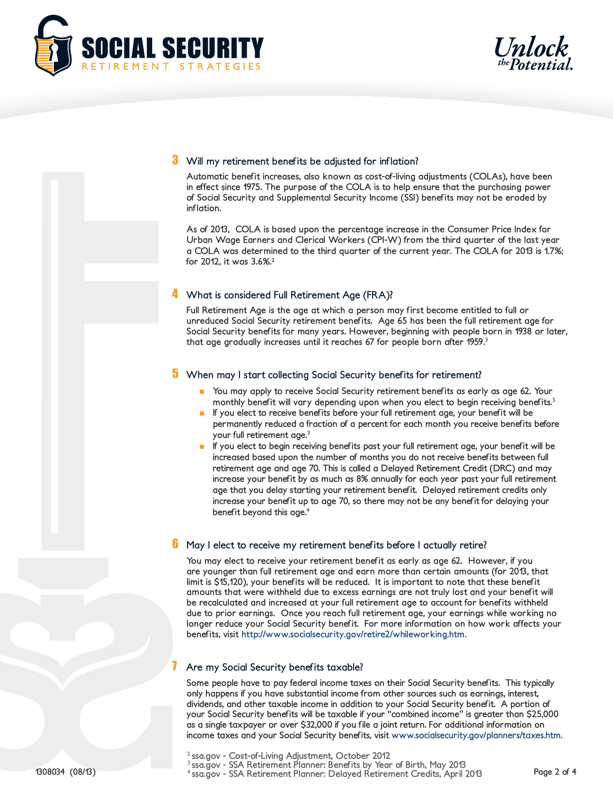



## 3 **Will my retirement benefits be adjusted for inflation?**

**Automatic benefit increases, also known as cost-of-living adjustments (COLAs), have been in effect since 1975. The purpose of the COLA is to help ensure that the purchasing power of Social Security and Supplemental Security Income (SSI) benefits may not be eroded by inflation.** 

**As of 2013, COLA is based upon the percentage increase in the Consumer Price Index for Urban Wage Earners and Clerical Workers (CPI-W) from the third quarter of the last year a COLA was determined to the third quarter of the current year. The COLA for 2013 is 1.7%; for 2012, it was 3.6%.2**

## 4 **What is considered Full Retirement Age (FRA)?**

**Full Retirement Age is the age at which a person may first become entitled to full or unreduced Social Security retirement benefits. Age 65 has been the full retirement age for Social Security benefits for many years. However, beginning with people born in 1938 or later, that age gradually increases until it reaches 67 for people born after 1959.3**

# 5 **When may I start collecting Social Security benefits for retirement?**

- You may apply to receive Social Security retirement benefits as early as age 62. Your **monthly benefit will vary depending upon when you elect to begin receiving benefits.3**
- If you elect to receive benefits before your full retirement age, your benefit will be **permanently reduced a fraction of a percent for each month you receive benefits before your full retirement age.3**
- **If you elect to begin receiving benefits past your full retirement age, your benefit will be increased based upon the number of months you do not receive benefits between full retirement age and age 70. This is called a Delayed Retirement Credit (DRC) and may increase your benefit by as much as 8% annually for each year past your full retirement age that you delay starting your retirement benefit. Delayed retirement credits only increase your benefit up to age 70, so there may not be any benefit for delaying your benefit beyond this age.4**

#### 6 **May I elect to receive my retirement benefits before I actually retire?**

**You may elect to receive your retirement benefit as early as age 62. However, if you are younger than full retirement age and earn more than certain amounts (for 2013, that limit is \$15,120), your benefits will be reduced. It is important to note that these benefit amounts that were withheld due to excess earnings are not truly lost and your benefit will be recalculated and increased at your full retirement age to account for benefits withheld due to prior earnings. Once you reach full retirement age, your earnings while working no longer reduce your Social Security benefit. For more information on how work affects your benefits, visit http://www.socialsecurity.gov/retire2/whileworking.htm.**

#### 7 **Are my Social Security benefits taxable?**

**Some people have to pay federal income taxes on their Social Security benefits. This typically only happens if you have substantial income from other sources such as earnings, interest, dividends, and other taxable income in addition to your Social Security benefit. A portion of your Social Security benefits will be taxable if your "combined income" is greater than \$25,000 as a single taxpayer or over \$32,000 if you file a joint return. For additional information on income taxes and your Social Security benefits, visit www.socialsecurity.gov/planners/taxes.htm.**

**1308034 (08/13) Page 2 of 4 4 ssa.gov - SSA Retirement Planner: Delayed Retirement Credits, April 2013**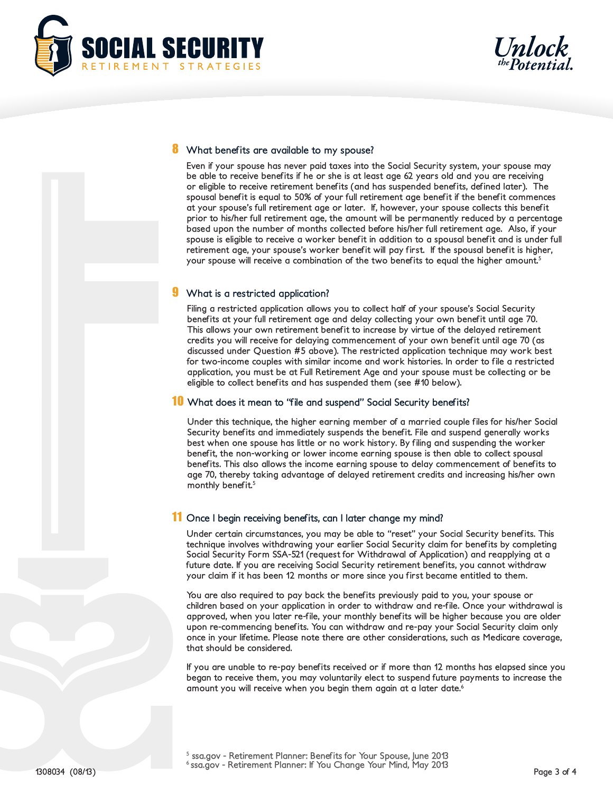

#### 8 **What benefits are available to my spouse?**

**Even if your spouse has never paid taxes into the Social Security system, your spouse may be able to receive benefits if he or she is at least age 62 years old and you are receiving or eligible to receive retirement benefits (and has suspended benefits, defined later). The spousal benefit is equal to 50% of your full retirement age benefit if the benefit commences at your spouse's full retirement age or later. If, however, your spouse collects this benefit prior to his/her full retirement age, the amount will be permanently reduced by a percentage based upon the number of months collected before his/her full retirement age. Also, if your spouse is eligible to receive a worker benefit in addition to a spousal benefit and is under full retirement age, your spouse's worker benefit will pay first. If the spousal benefit is higher, your spouse will receive a combination of the two benefits to equal the higher amount.5**

## 9 **What is a restricted application?**

**Filing a restricted application allows you to collect half of your spouse's Social Security benefits at your full retirement age and delay collecting your own benefit until age 70. This allows your own retirement benefit to increase by virtue of the delayed retirement credits you will receive for delaying commencement of your own benefit until age 70 (as discussed under Question #5 above). The restricted application technique may work best for two-income couples with similar income and work histories. In order to file a restricted application, you must be at Full Retirement Age and your spouse must be collecting or be eligible to collect benefits and has suspended them (see #10 below).**

# 10 **What does it mean to "file and suspend" Social Security benefits?**

**Under this technique, the higher earning member of a married couple files for his/her Social Security benefits and immediately suspends the benefit. File and suspend generally works best when one spouse has little or no work history. By filing and suspending the worker benefit, the non-working or lower income earning spouse is then able to collect spousal benefits. This also allows the income earning spouse to delay commencement of benefits to age 70, thereby taking advantage of delayed retirement credits and increasing his/her own monthly benefit.5**

# 11 **Once I begin receiving benefits, can I later change my mind?**

**Under certain circumstances, you may be able to "reset" your Social Security benefits. This technique involves withdrawing your earlier Social Security claim for benefits by completing Social Security Form SSA-521 (request for Withdrawal of Application) and reapplying at a future date. If you are receiving Social Security retirement benefits, you cannot withdraw your claim if it has been 12 months or more since you first became entitled to them.** 

**You are also required to pay back the benefits previously paid to you, your spouse or children based on your application in order to withdraw and re-file. Once your withdrawal is approved, when you later re-file, your monthly benefits will be higher because you are older upon re-commencing benefits. You can withdraw and re-pay your Social Security claim only once in your lifetime. Please note there are other considerations, such as Medicare coverage, that should be considered.**

**If you are unable to re-pay benefits received or if more than 12 months has elapsed since you began to receive them, you may voluntarily elect to suspend future payments to increase the amount you will receive when you begin them again at a later date.6**